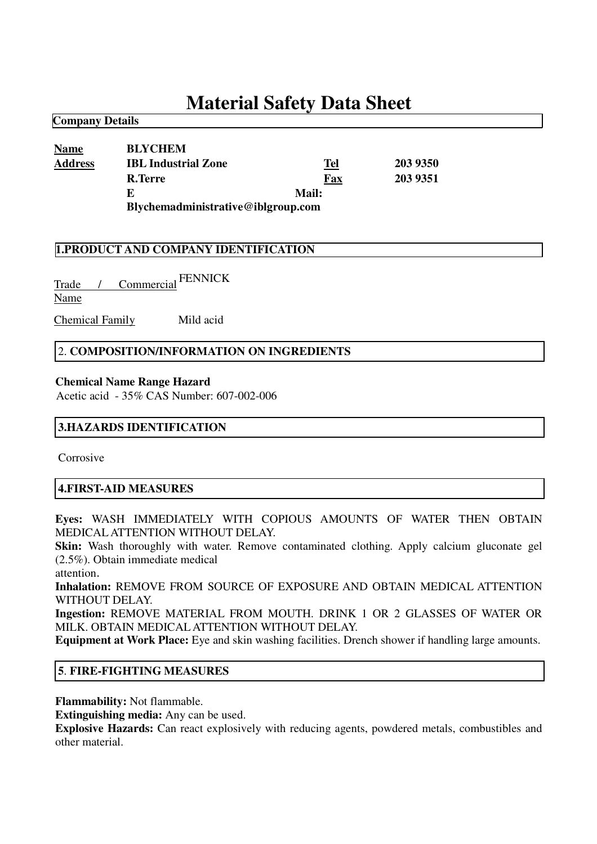# **Material Safety Data Sheet**

| <b>Name</b>    | <b>BLYCHEM</b>                     |       |          |
|----------------|------------------------------------|-------|----------|
| <b>Address</b> | <b>IBL Industrial Zone</b>         | Tel   | 203 9350 |
|                | R.Terre                            | Fax   | 203 9351 |
|                | E                                  | Mail: |          |
|                | Blychemadministrative@iblgroup.com |       |          |

## **1.PRODUCT AND COMPANY IDENTIFICATION**

Trade / Commercial FENNICK Name

**Company Details**

Chemical Family Mild acid

#### 2. **COMPOSITION/INFORMATION ON INGREDIENTS**

#### **Chemical Name Range Hazard**

Acetic acid - 35% CAS Number: 607-002-006

#### **3.HAZARDS IDENTIFICATION**

Corrosive

#### **4.FIRST-AID MEASURES**

**Eyes:** WASH IMMEDIATELY WITH COPIOUS AMOUNTS OF WATER THEN OBTAIN MEDICALATTENTION WITHOUT DELAY.

**Skin:** Wash thoroughly with water. Remove contaminated clothing. Apply calcium gluconate gel (2.5%). Obtain immediate medical

attention

**Inhalation:** REMOVE FROM SOURCE OF EXPOSURE AND OBTAIN MEDICAL ATTENTION WITHOUT DELAY.

**Ingestion:** REMOVE MATERIAL FROM MOUTH. DRINK 1 OR 2 GLASSES OF WATER OR MILK. OBTAIN MEDICALATTENTION WITHOUT DELAY.

**Equipment at Work Place:** Eye and skin washing facilities. Drench shower if handling large amounts.

#### **5**. **FIRE-FIGHTING MEASURES**

**Flammability:** Not flammable.

**Extinguishing media:** Any can be used.

**Explosive Hazards:** Can react explosively with reducing agents, powdered metals, combustibles and other material.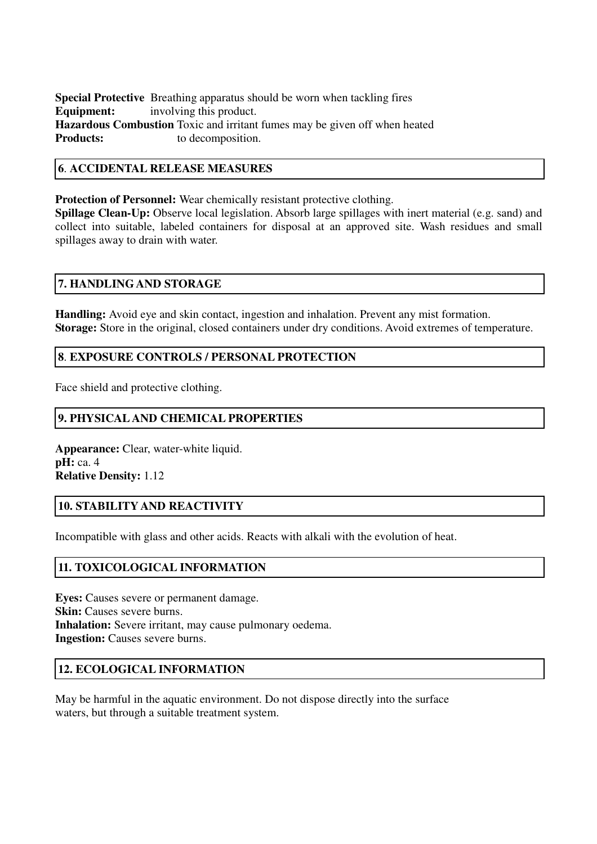**Special Protective** Breathing apparatus should be worn when tackling fires **Equipment:** involving this product. **Hazardous Combustion** Toxic and irritant fumes may be given off when heated **Products:** to decomposition to decomposition.

#### **6**. **ACCIDENTAL RELEASE MEASURES**

**Protection of Personnel:** Wear chemically resistant protective clothing. **Spillage Clean-Up:** Observe local legislation. Absorb large spillages with inert material (e.g. sand) and

collect into suitable, labeled containers for disposal at an approved site. Wash residues and small spillages away to drain with water.

#### **7. HANDLINGAND STORAGE**

**Handling:** Avoid eye and skin contact, ingestion and inhalation. Prevent any mist formation. **Storage:** Store in the original, closed containers under dry conditions. Avoid extremes of temperature.

## **8**. **EXPOSURE CONTROLS / PERSONAL PROTECTION**

Face shield and protective clothing.

## **9. PHYSICAL AND CHEMICAL PROPERTIES**

**Appearance:** Clear, water-white liquid. **pH:** ca. 4 **Relative Density:** 1.12

## **10. STABILITY AND REACTIVITY**

Incompatible with glass and other acids. Reacts with alkali with the evolution of heat.

## **11. TOXICOLOGICAL INFORMATION**

**Eyes:** Causes severe or permanent damage. **Skin:** Causes severe burns. **Inhalation:** Severe irritant, may cause pulmonary oedema. **Ingestion:** Causes severe burns.

### **12. ECOLOGICAL INFORMATION**

May be harmful in the aquatic environment. Do not dispose directly into the surface waters, but through a suitable treatment system.